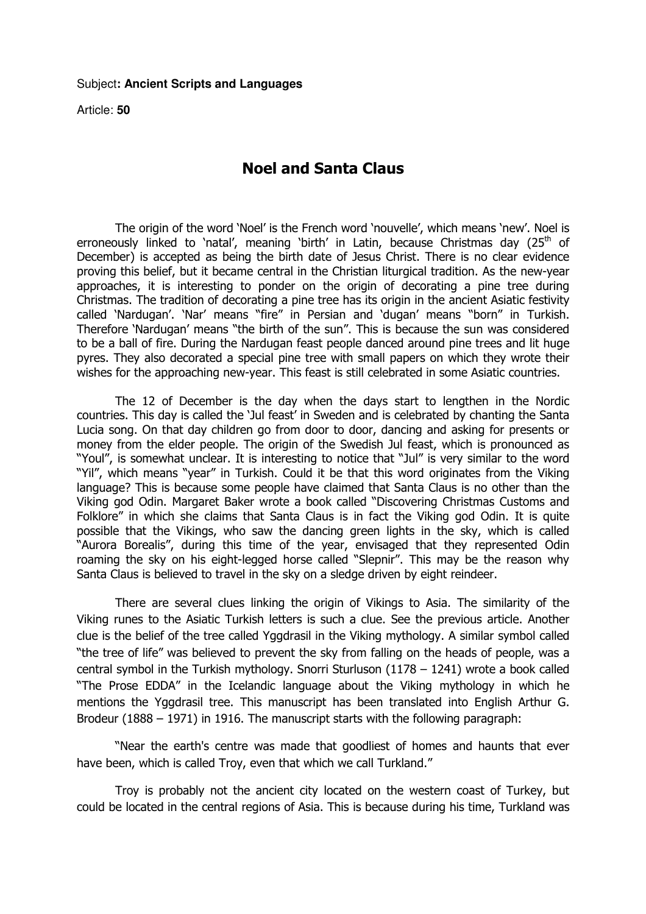Article: **50**

## Noel and Santa Claus

 The origin of the word 'Noel' is the French word 'nouvelle', which means 'new'. Noel is erroneously linked to 'natal', meaning 'birth' in Latin, because Christmas day  $(25<sup>th</sup>$  of December) is accepted as being the birth date of Jesus Christ. There is no clear evidence proving this belief, but it became central in the Christian liturgical tradition. As the new-year approaches, it is interesting to ponder on the origin of decorating a pine tree during Christmas. The tradition of decorating a pine tree has its origin in the ancient Asiatic festivity called 'Nardugan'. 'Nar' means "fire" in Persian and 'dugan' means "born" in Turkish. Therefore 'Nardugan' means "the birth of the sun". This is because the sun was considered to be a ball of fire. During the Nardugan feast people danced around pine trees and lit huge pyres. They also decorated a special pine tree with small papers on which they wrote their wishes for the approaching new-year. This feast is still celebrated in some Asiatic countries.

 The 12 of December is the day when the days start to lengthen in the Nordic countries. This day is called the 'Jul feast' in Sweden and is celebrated by chanting the Santa Lucia song. On that day children go from door to door, dancing and asking for presents or money from the elder people. The origin of the Swedish Jul feast, which is pronounced as "Youl", is somewhat unclear. It is interesting to notice that "Jul" is very similar to the word "Yil", which means "year" in Turkish. Could it be that this word originates from the Viking language? This is because some people have claimed that Santa Claus is no other than the Viking god Odin. Margaret Baker wrote a book called "Discovering Christmas Customs and Folklore" in which she claims that Santa Claus is in fact the Viking god Odin. It is quite possible that the Vikings, who saw the dancing green lights in the sky, which is called "Aurora Borealis", during this time of the year, envisaged that they represented Odin roaming the sky on his eight-legged horse called "Slepnir". This may be the reason why Santa Claus is believed to travel in the sky on a sledge driven by eight reindeer.

 There are several clues linking the origin of Vikings to Asia. The similarity of the Viking runes to the Asiatic Turkish letters is such a clue. See the previous article. Another clue is the belief of the tree called Yggdrasil in the Viking mythology. A similar symbol called "the tree of life" was believed to prevent the sky from falling on the heads of people, was a central symbol in the Turkish mythology. Snorri Sturluson (1178 – 1241) wrote a book called "The Prose EDDA" in the Icelandic language about the Viking mythology in which he mentions the Yggdrasil tree. This manuscript has been translated into English Arthur G. Brodeur (1888 – 1971) in 1916. The manuscript starts with the following paragraph:

 "Near the earth's centre was made that goodliest of homes and haunts that ever have been, which is called Troy, even that which we call Turkland."

 Troy is probably not the ancient city located on the western coast of Turkey, but could be located in the central regions of Asia. This is because during his time, Turkland was